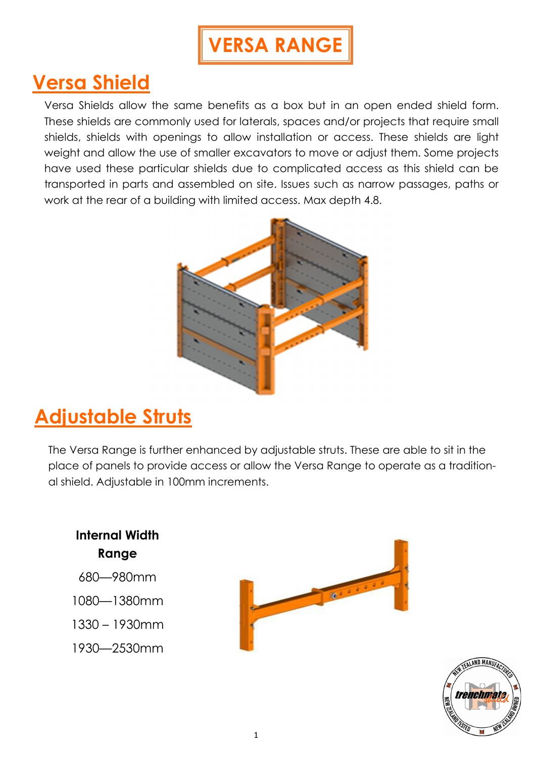# **VERSA RANGE**

## **Versa Shield**

Versa Shields allow the same benefits as a box but in an open ended shield form. These shields are commonly used for laterals, spaces and/or projects that require small shields, shields with openings to allow installation or access. These shields are light weight and allow the use of smaller excavators to move or adjust them. Some projects have used these particular shields due to complicated access as this shield can be transported in parts and assembled on site. Issues such as narrow passages, paths or work at the rear of a building with limited access. Max depth 4.8.



## **Adjustable Struts**

The Versa Range is further enhanced by adjustable struts. These are able to sit in the place of panels to provide access or allow the Versa Range to operate as a traditional shield. Adjustable in 100mm increments.

**Internal Width Range**  680—980mm  $\mathbb{R}^2$ 1080—1380mm 1330 – 1930mm 1930—2530mm

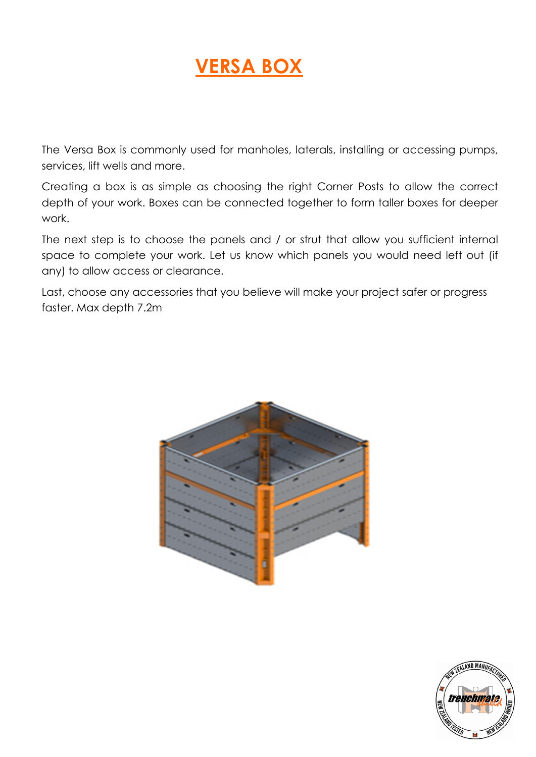## **VERSA BOX**

The Versa Box is commonly used for manholes, laterals, installing or accessing pumps, services, lift wells and more.

Creating a box is as simple as choosing the right Corner Posts to allow the correct depth of your work. Boxes can be connected together to form taller boxes for deeper work.

The next step is to choose the panels and / or strut that allow you sufficient internal space to complete your work. Let us know which panels you would need left out (if any) to allow access or clearance.

Last, choose any accessories that you believe will make your project safer or progress faster. Max depth 7.2m



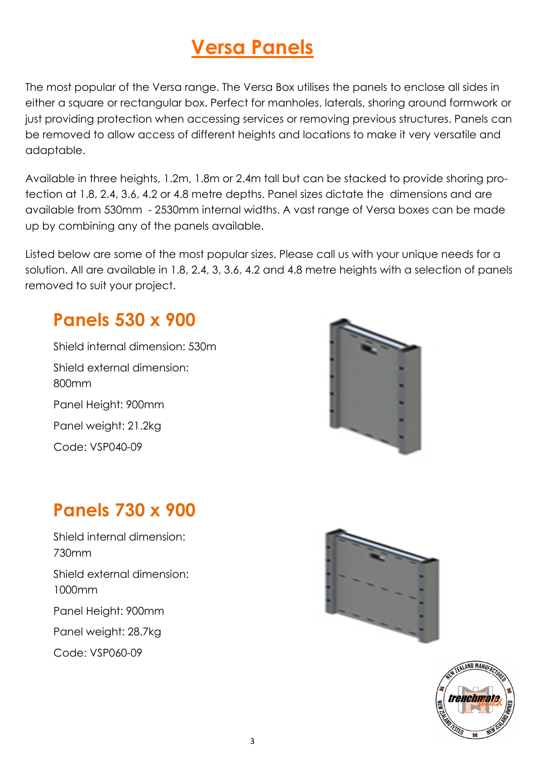The most popular of the Versa range. The Versa Box utilises the panels to enclose all sides in either a square or rectangular box. Perfect for manholes, laterals, shoring around formwork or just providing protection when accessing services or removing previous structures. Panels can be removed to allow access of different heights and locations to make it very versatile and adaptable.

Available in three heights, 1.2m, 1.8m or 2.4m tall but can be stacked to provide shoring protection at 1.8, 2.4, 3.6, 4.2 or 4.8 metre depths. Panel sizes dictate the dimensions and are available from 530mm - 2530mm internal widths. A vast range of Versa boxes can be made up by combining any of the panels available.

Listed below are some of the most popular sizes. Please call us with your unique needs for a solution. All are available in 1.8, 2.4, 3, 3.6, 4.2 and 4.8 metre heights with a selection of panels removed to suit your project.

### **Panels 530 x 900**

Shield internal dimension: 530m Shield external dimension: 800mm Panel Height: 900mm Panel weight: 21.2kg Code: VSP040-09



### **Panels 730 x 900**

Shield internal dimension: 730mm Shield external dimension: 1000mm Panel Height: 900mm Panel weight: 28.7kg Code: VSP060-09



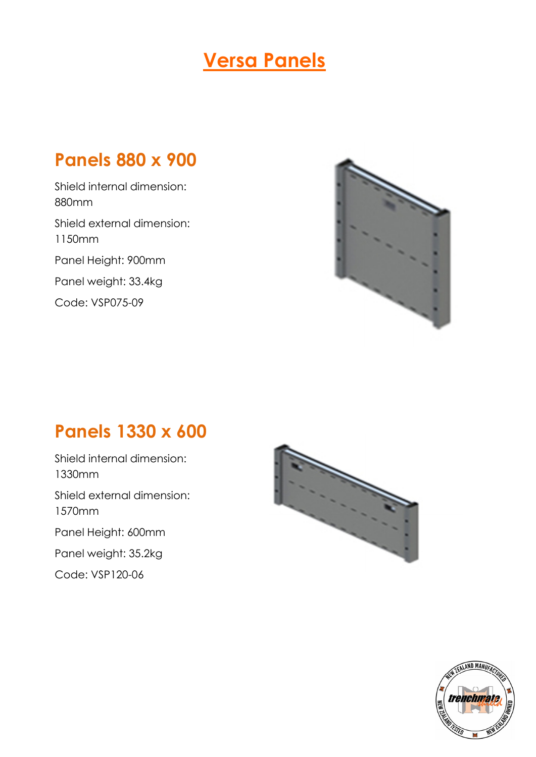### **Panels 880 x 900**

Shield internal dimension: 880mm Shield external dimension: 1150mm Panel Height: 900mm Panel weight: 33.4kg Code: VSP075-09



#### **Panels 1330 x 600**

Shield internal dimension: 1330mm Shield external dimension: 1570mm Panel Height: 600mm Panel weight: 35.2kg Code: VSP120-06



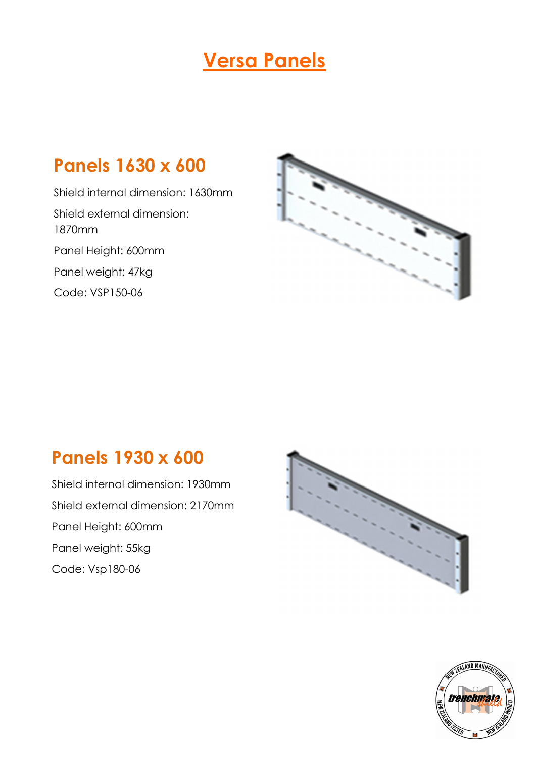### **Panels 1630 x 600**

Shield internal dimension: 1630mm Shield external dimension: 1870mm Panel Height: 600mm Panel weight: 47kg Code: VSP150-06



#### **Panels 1930 x 600**

Shield internal dimension: 1930mm Shield external dimension: 2170mm Panel Height: 600mm Panel weight: 55kg Code: Vsp180-06



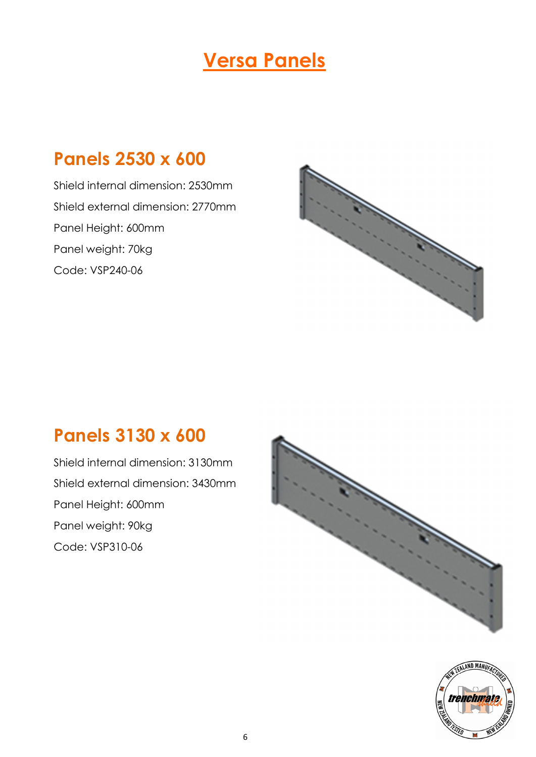#### **Panels 2530 x 600**

Shield internal dimension: 2530mm Shield external dimension: 2770mm Panel Height: 600mm Panel weight: 70kg Code: VSP240-06



#### **Panels 3130 x 600**

Shield internal dimension: 3130mm Shield external dimension: 3430mm Panel Height: 600mm Panel weight: 90kg Code: VSP310-06



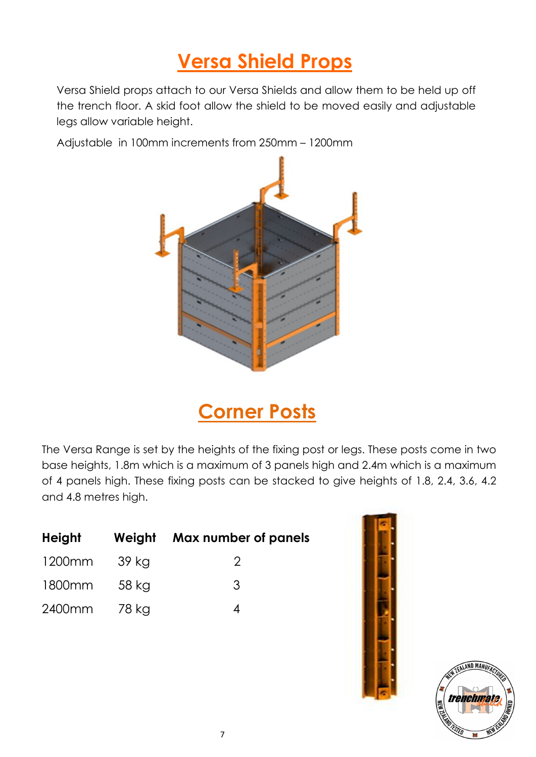## **Versa Shield Props**

Versa Shield props attach to our Versa Shields and allow them to be held up off the trench floor. A skid foot allow the shield to be moved easily and adjustable legs allow variable height.

Adjustable in 100mm increments from 250mm – 1200mm



**Corner Posts**

The Versa Range is set by the heights of the fixing post or legs. These posts come in two base heights, 1.8m which is a maximum of 3 panels high and 2.4m which is a maximum of 4 panels high. These fixing posts can be stacked to give heights of 1.8, 2.4, 3.6, 4.2 and 4.8 metres high.

| Height |        | Weight Max number of panels |
|--------|--------|-----------------------------|
| 1200mm | -39 kg | $\mathcal{L}$               |
| 1800mm | -58 kg | 3                           |
| 2400mm | 78 kg  |                             |